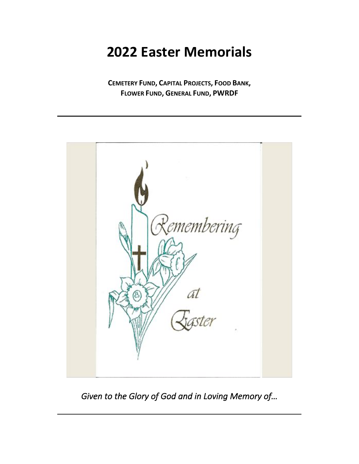**CEMETERY FUND, CAPITAL PROJECTS, FOOD BANK, FLOWER FUND, GENERAL FUND, PWRDF**



*Given to the Glory of God and in Loving Memory of…*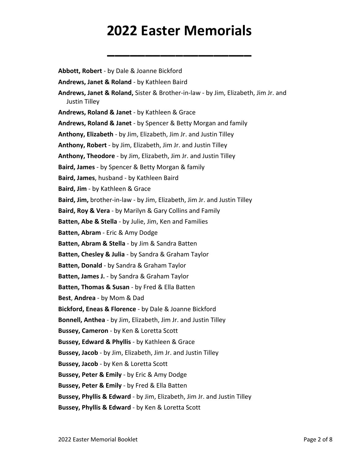**\_\_\_\_\_\_\_\_\_\_\_\_\_\_\_\_\_\_\_**

**Abbott, Robert** - by Dale & Joanne Bickford **Andrews, Janet & Roland** - by Kathleen Baird **Andrews, Janet & Roland,** Sister & Brother-in-law - by Jim, Elizabeth, Jim Jr. and Justin Tilley **Andrews, Roland & Janet** - by Kathleen & Grace **Andrews, Roland & Janet** - by Spencer & Betty Morgan and family **Anthony, Elizabeth** - by Jim, Elizabeth, Jim Jr. and Justin Tilley **Anthony, Robert** - by Jim, Elizabeth, Jim Jr. and Justin Tilley **Anthony, Theodore** - by Jim, Elizabeth, Jim Jr. and Justin Tilley **Baird, James** - by Spencer & Betty Morgan & family **Baird, James**, husband - by Kathleen Baird **Baird, Jim** - by Kathleen & Grace **Baird, Jim,** brother-in-law - by Jim, Elizabeth, Jim Jr. and Justin Tilley **Baird, Roy & Vera** - by Marilyn & Gary Collins and Family **Batten, Abe & Stella** - by Julie, Jim, Ken and Families **Batten, Abram** - Eric & Amy Dodge **Batten, Abram & Stella** - by Jim & Sandra Batten **Batten, Chesley & Julia** - by Sandra & Graham Taylor **Batten, Donald** - by Sandra & Graham Taylor **Batten, James J.** - by Sandra & Graham Taylor **Batten, Thomas & Susan** - by Fred & Ella Batten **Best**, **Andrea** - by Mom & Dad **Bickford, Eneas & Florence** - by Dale & Joanne Bickford **Bonnell, Anthea** - by Jim, Elizabeth, Jim Jr. and Justin Tilley **Bussey, Cameron** - by Ken & Loretta Scott **Bussey, Edward & Phyllis** - by Kathleen & Grace **Bussey, Jacob** - by Jim, Elizabeth, Jim Jr. and Justin Tilley **Bussey, Jacob** - by Ken & Loretta Scott **Bussey, Peter & Emily** - by Eric & Amy Dodge **Bussey, Peter & Emily** - by Fred & Ella Batten **Bussey, Phyllis & Edward** - by Jim, Elizabeth, Jim Jr. and Justin Tilley **Bussey, Phyllis & Edward** - by Ken & Loretta Scott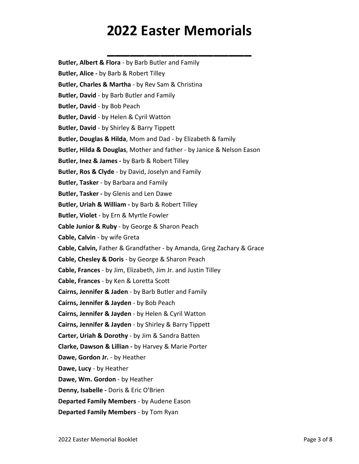**\_\_\_\_\_\_\_\_\_\_\_\_\_\_\_\_\_\_\_**

**Butler, Albert & Flora** - by Barb Butler and Family

**Butler, Alice -** by Barb & Robert Tilley

**Butler, Charles & Martha** - by Rev Sam & Christina

**Butler, David** - by Barb Butler and Family

**Butler, David** - by Bob Peach

**Butler, David** - by Helen & Cyril Watton

**Butler, David** - by Shirley & Barry Tippett

**Butler, Douglas & Hilda**, Mom and Dad - by Elizabeth & family

**Butler, Hilda & Douglas**, Mother and father - by Janice & Nelson Eason

**Butler, Inez & James -** by Barb & Robert Tilley

**Butler, Ros & Clyde** - by David, Joselyn and Family

**Butler, Tasker** - by Barbara and Family

**Butler, Tasker -** by Glenis and Len Dawe

**Butler, Uriah & William -** by Barb & Robert Tilley

**Butler, Violet** - by Ern & Myrtle Fowler

**Cable Junior & Ruby** - by George & Sharon Peach

**Cable, Calvin** - by wife Greta

**Cable, Calvin,** Father & Grandfather - by Amanda, Greg Zachary & Grace

**Cable, Chesley & Doris** - by George & Sharon Peach

**Cable, Frances** - by Jim, Elizabeth, Jim Jr. and Justin Tilley

**Cable, Frances** - by Ken & Loretta Scott

**Cairns, Jennifer & Jaden** - by Barb Butler and Family

**Cairns, Jennifer & Jayden** - by Bob Peach

**Cairns, Jennifer & Jayden** - by Helen & Cyril Watton

**Cairns, Jennifer & Jayden** - by Shirley & Barry Tippett

**Carter, Uriah & Dorothy** - by Jim & Sandra Batten

**Clarke, Dawson & Lillian -** by Harvey & Marie Porter

**Dawe, Gordon Jr.** - by Heather

**Dawe, Lucy** - by Heather

**Dawe, Wm. Gordon** - by Heather

**Denny, Isabelle -** Doris & Eric O'Brien

**Departed Family Members** - by Audene Eason

**Departed Family Members** - by Tom Ryan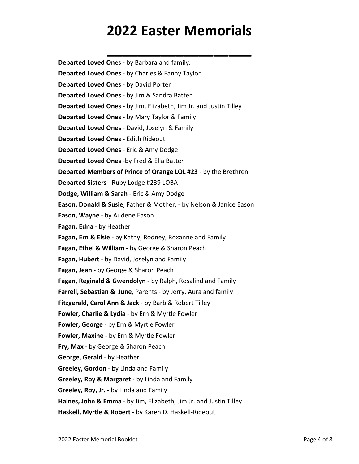**\_\_\_\_\_\_\_\_\_\_\_\_\_\_\_\_\_\_\_**

**Departed Loved On**es - by Barbara and family. **Departed Loved Ones** - by Charles & Fanny Taylor **Departed Loved Ones** - by David Porter **Departed Loved Ones** - by Jim & Sandra Batten **Departed Loved Ones -** by Jim, Elizabeth, Jim Jr. and Justin Tilley **Departed Loved Ones** - by Mary Taylor & Family **Departed Loved Ones** - David, Joselyn & Family **Departed Loved Ones** - Edith Rideout **Departed Loved Ones** - Eric & Amy Dodge **Departed Loved Ones** -by Fred & Ella Batten **Departed Members of Prince of Orange LOL #23** - by the Brethren **Departed Sisters** - Ruby Lodge #239 LOBA **Dodge, William & Sarah** - Eric & Amy Dodge **Eason, Donald & Susie**, Father & Mother, - by Nelson & Janice Eason **Eason, Wayne** - by Audene Eason **Fagan, Edna** - by Heather **Fagan, Ern & Elsie** - by Kathy, Rodney, Roxanne and Family **Fagan, Ethel & William** - by George & Sharon Peach **Fagan, Hubert** - by David, Joselyn and Family **Fagan, Jean** - by George & Sharon Peach **Fagan, Reginald & Gwendolyn -** by Ralph, Rosalind and Family **Farrell, Sebastian & June,** Parents - by Jerry, Aura and family **Fitzgerald, Carol Ann & Jack** - by Barb & Robert Tilley **Fowler, Charlie & Lydia** - by Ern & Myrtle Fowler **Fowler, George** - by Ern & Myrtle Fowler **Fowler, Maxine** - by Ern & Myrtle Fowler **Fry, Max** - by George & Sharon Peach **George, Gerald** - by Heather **Greeley, Gordon** - by Linda and Family **Greeley, Roy & Margaret** - by Linda and Family **Greeley, Roy, Jr.** - by Linda and Family **Haines, John & Emma** - by Jim, Elizabeth, Jim Jr. and Justin Tilley **Haskell, Myrtle & Robert -** by Karen D. Haskell-Rideout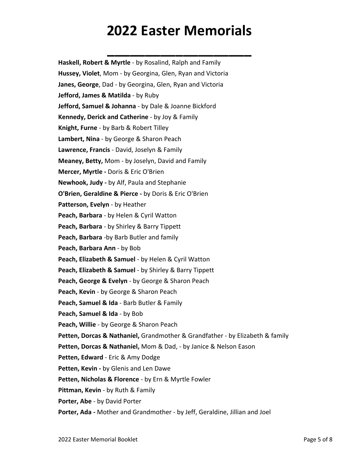**\_\_\_\_\_\_\_\_\_\_\_\_\_\_\_\_\_\_\_**

| Haskell, Robert & Myrtle - by Rosalind, Ralph and Family                      |
|-------------------------------------------------------------------------------|
| Hussey, Violet, Mom - by Georgina, Glen, Ryan and Victoria                    |
| Janes, George, Dad - by Georgina, Glen, Ryan and Victoria                     |
| Jefford, James & Matilda - by Ruby                                            |
| <b>Jefford, Samuel &amp; Johanna</b> - by Dale & Joanne Bickford              |
| Kennedy, Derick and Catherine - by Joy & Family                               |
| Knight, Furne - by Barb & Robert Tilley                                       |
| Lambert, Nina - by George & Sharon Peach                                      |
| Lawrence, Francis - David, Joselyn & Family                                   |
| Meaney, Betty, Mom - by Joselyn, David and Family                             |
| Mercer, Myrtle - Doris & Eric O'Brien                                         |
| Newhook, Judy - by Alf, Paula and Stephanie                                   |
| O'Brien, Geraldine & Pierce - by Doris & Eric O'Brien                         |
| Patterson, Evelyn - by Heather                                                |
| Peach, Barbara - by Helen & Cyril Watton                                      |
| Peach, Barbara - by Shirley & Barry Tippett                                   |
| Peach, Barbara -by Barb Butler and family                                     |
| Peach, Barbara Ann - by Bob                                                   |
| Peach, Elizabeth & Samuel - by Helen & Cyril Watton                           |
| Peach, Elizabeth & Samuel - by Shirley & Barry Tippett                        |
| Peach, George & Evelyn - by George & Sharon Peach                             |
| Peach, Kevin - by George & Sharon Peach                                       |
| Peach, Samuel & Ida - Barb Butler & Family                                    |
| Peach, Samuel & Ida - by Bob                                                  |
| Peach, Willie - by George & Sharon Peach                                      |
| Petten, Dorcas & Nathaniel, Grandmother & Grandfather - by Elizabeth & family |
| Petten, Dorcas & Nathaniel, Mom & Dad, - by Janice & Nelson Eason             |
| Petten, Edward - Eric & Amy Dodge                                             |
| Petten, Kevin - by Glenis and Len Dawe                                        |
| Petten, Nicholas & Florence - by Ern & Myrtle Fowler                          |
| Pittman, Kevin - by Ruth & Family                                             |
| Porter, Abe - by David Porter                                                 |
| Porter, Ada - Mother and Grandmother - by Jeff, Geraldine, Jillian and Joel   |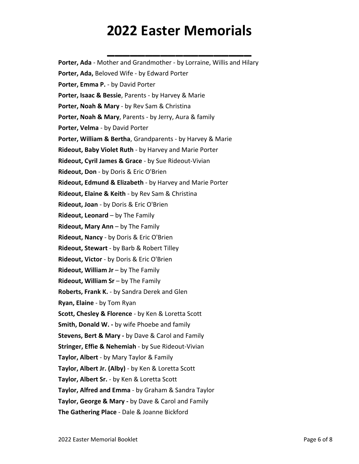**\_\_\_\_\_\_\_\_\_\_\_\_\_\_\_\_\_\_\_ Porter, Ada** - Mother and Grandmother - by Lorraine, Willis and Hilary **Porter, Ada,** Beloved Wife - by Edward Porter **Porter, Emma P.** - by David Porter **Porter, Isaac & Bessie**, Parents - by Harvey & Marie **Porter, Noah & Mary** - by Rev Sam & Christina **Porter, Noah & Mary**, Parents - by Jerry, Aura & family **Porter, Velma** - by David Porter **Porter, William & Bertha**, Grandparents - by Harvey & Marie **Rideout, Baby Violet Ruth** - by Harvey and Marie Porter **Rideout, Cyril James & Grace** - by Sue Rideout-Vivian **Rideout, Don** - by Doris & Eric O'Brien **Rideout, Edmund & Elizabeth** - by Harvey and Marie Porter **Rideout, Elaine & Keith** - by Rev Sam & Christina **Rideout, Joan** - by Doris & Eric O'Brien **Rideout, Leonard** – by The Family **Rideout, Mary Ann** – by The Family **Rideout, Nancy** - by Doris & Eric O'Brien **Rideout, Stewart** - by Barb & Robert Tilley **Rideout, Victor** - by Doris & Eric O'Brien **Rideout, William Jr** – by The Family **Rideout, William Sr** – by The Family **Roberts, Frank K.** - by Sandra Derek and Glen **Ryan, Elaine** - by Tom Ryan **Scott, Chesley & Florence** - by Ken & Loretta Scott **Smith, Donald W. -** by wife Phoebe and family **Stevens, Bert & Mary -** by Dave & Carol and Family **Stringer, Effie & Nehemiah** - by Sue Rideout-Vivian **Taylor, Albert** - by Mary Taylor & Family **Taylor, Albert Jr. (Alby)** - by Ken & Loretta Scott **Taylor, Albert Sr.** - by Ken & Loretta Scott **Taylor, Alfred and Emma** - by Graham & Sandra Taylor **Taylor, George & Mary -** by Dave & Carol and Family **The Gathering Place** - Dale & Joanne Bickford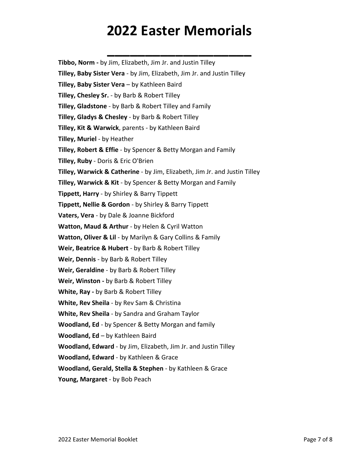**\_\_\_\_\_\_\_\_\_\_\_\_\_\_\_\_\_\_\_**

**Tibbo, Norm -** by Jim, Elizabeth, Jim Jr. and Justin Tilley **Tilley, Baby Sister Vera** - by Jim, Elizabeth, Jim Jr. and Justin Tilley **Tilley, Baby Sister Vera** – by Kathleen Baird **Tilley, Chesley Sr.** - by Barb & Robert Tilley **Tilley, Gladstone** - by Barb & Robert Tilley and Family **Tilley, Gladys & Chesley** - by Barb & Robert Tilley **Tilley, Kit & Warwick**, parents - by Kathleen Baird **Tilley, Muriel** - by Heather **Tilley, Robert & Effie** - by Spencer & Betty Morgan and Family **Tilley, Ruby** - Doris & Eric O'Brien **Tilley, Warwick & Catherine** - by Jim, Elizabeth, Jim Jr. and Justin Tilley **Tilley, Warwick & Kit** - by Spencer & Betty Morgan and Family **Tippett, Harry** - by Shirley & Barry Tippett **Tippett, Nellie & Gordon** - by Shirley & Barry Tippett **Vaters, Vera** - by Dale & Joanne Bickford **Watton, Maud & Arthur** - by Helen & Cyril Watton **Watton, Oliver & Lil** - by Marilyn & Gary Collins & Family **Weir, Beatrice & Hubert** - by Barb & Robert Tilley **Weir, Dennis** - by Barb & Robert Tilley **Weir, Geraldine** - by Barb & Robert Tilley **Weir, Winston -** by Barb & Robert Tilley **White, Ray -** by Barb & Robert Tilley **White, Rev Sheila** - by Rev Sam & Christina **White, Rev Sheila** - by Sandra and Graham Taylor **Woodland, Ed** - by Spencer & Betty Morgan and family **Woodland, Ed** – by Kathleen Baird **Woodland, Edward** - by Jim, Elizabeth, Jim Jr. and Justin Tilley **Woodland, Edward** - by Kathleen & Grace **Woodland, Gerald, Stella & Stephen** - by Kathleen & Grace **Young, Margaret** - by Bob Peach